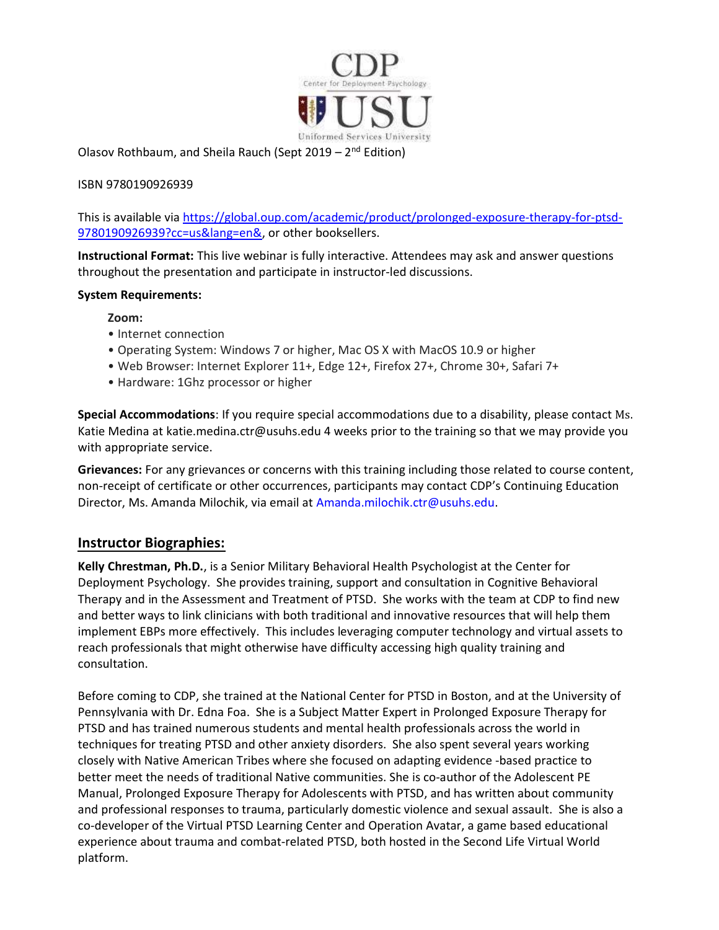

Olasov Rothbaum, and Sheila Rauch (Sept 2019 –  $2<sup>nd</sup>$  Edition)

## ISBN 9780190926939

This is available via https://global.oup.com/academic/product/prolonged-exposure-therapy-for-ptsd-9780190926939?cc=us&lang=en&, or other booksellers.

Instructional Format: This live webinar is fully interactive. Attendees may ask and answer questions throughout the presentation and participate in instructor-led discussions.

## System Requirements:

## Zoom:

- Internet connection
- Operating System: Windows 7 or higher, Mac OS X with MacOS 10.9 or higher
- Web Browser: Internet Explorer 11+, Edge 12+, Firefox 27+, Chrome 30+, Safari 7+
- Hardware: 1Ghz processor or higher

Special Accommodations: If you require special accommodations due to a disability, please contact Ms. Katie Medina at katie.medina.ctr@usuhs.edu 4 weeks prior to the training so that we may provide you with appropriate service.

Grievances: For any grievances or concerns with this training including those related to course content, non-receipt of certificate or other occurrences, participants may contact CDP's Continuing Education Director, Ms. Amanda Milochik, via email at Amanda.milochik.ctr@usuhs.edu.

## Instructor Biographies:

Kelly Chrestman, Ph.D., is a Senior Military Behavioral Health Psychologist at the Center for Deployment Psychology. She provides training, support and consultation in Cognitive Behavioral Therapy and in the Assessment and Treatment of PTSD. She works with the team at CDP to find new and better ways to link clinicians with both traditional and innovative resources that will help them implement EBPs more effectively. This includes leveraging computer technology and virtual assets to reach professionals that might otherwise have difficulty accessing high quality training and consultation.

Before coming to CDP, she trained at the National Center for PTSD in Boston, and at the University of Pennsylvania with Dr. Edna Foa. She is a Subject Matter Expert in Prolonged Exposure Therapy for PTSD and has trained numerous students and mental health professionals across the world in techniques for treating PTSD and other anxiety disorders. She also spent several years working closely with Native American Tribes where she focused on adapting evidence -based practice to better meet the needs of traditional Native communities. She is co-author of the Adolescent PE Manual, Prolonged Exposure Therapy for Adolescents with PTSD, and has written about community and professional responses to trauma, particularly domestic violence and sexual assault. She is also a co-developer of the Virtual PTSD Learning Center and Operation Avatar, a game based educational experience about trauma and combat-related PTSD, both hosted in the Second Life Virtual World platform.